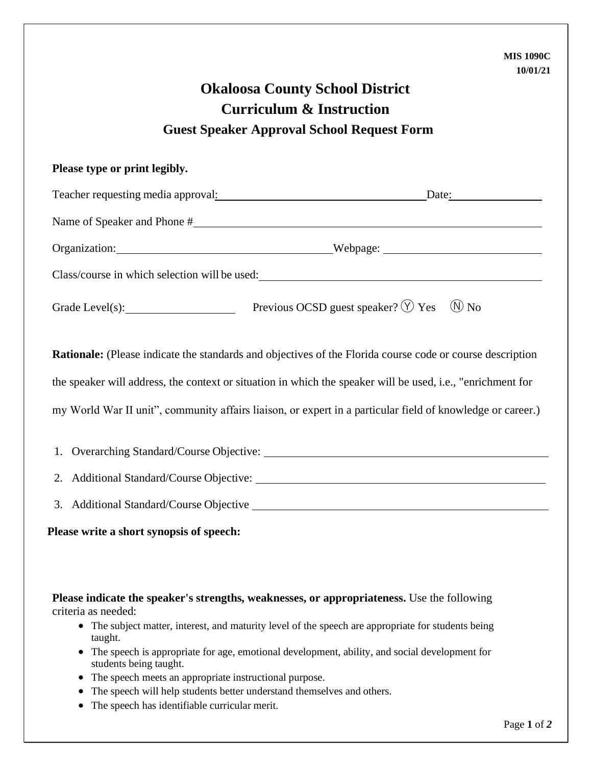| 10/01/21                                                                                                                |
|-------------------------------------------------------------------------------------------------------------------------|
| <b>Okaloosa County School District</b>                                                                                  |
| <b>Curriculum &amp; Instruction</b>                                                                                     |
| <b>Guest Speaker Approval School Request Form</b>                                                                       |
| Please type or print legibly.                                                                                           |
|                                                                                                                         |
|                                                                                                                         |
| Organization: Webpage: Webpage:                                                                                         |
| Class/course in which selection will be used:<br><u>Class</u> /course in which selection will be used:                  |
| Grade Level(s): Previous OCSD guest speaker? $\circled{y}$ Yes $\circled{N}$ No                                         |
| <b>Rationale:</b> (Please indicate the standards and objectives of the Florida course code or course description        |
| the speaker will address, the context or situation in which the speaker will be used, i.e., "enrichment for             |
| my World War II unit", community affairs liaison, or expert in a particular field of knowledge or career.)              |
| 1.                                                                                                                      |
| 2. Additional Standard/Course Objective:                                                                                |
| 3. Additional Standard/Course Objective _________                                                                       |
| Please write a short synopsis of speech:                                                                                |
|                                                                                                                         |
| Please indicate the speaker's strengths, weaknesses, or appropriateness. Use the following<br>criteria as needed:       |
| The subject matter, interest, and maturity level of the speech are appropriate for students being<br>taught.            |
| The speech is appropriate for age, emotional development, ability, and social development for<br>students being taught. |
| The speech meets on enprenriete instructional purpose.                                                                  |

- The speech meets an appropriate instructional purpose.
- The speech will help students better understand themselves and others.
- The speech has identifiable curricular merit.